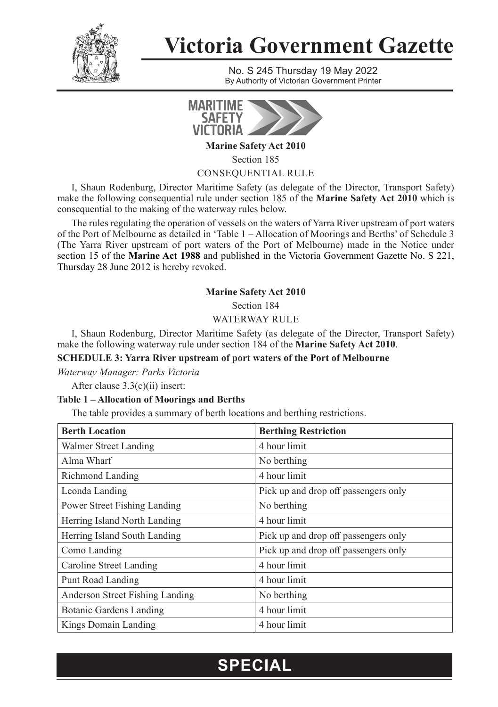

## **Victoria Government Gazette**

No. S 245 Thursday 19 May 2022 By Authority of Victorian Government Printer



**Marine Safety Act 2010**

Section 185

CONSEQUENTIAL RULE

I, Shaun Rodenburg, Director Maritime Safety (as delegate of the Director, Transport Safety) make the following consequential rule under section 185 of the **Marine Safety Act 2010** which is consequential to the making of the waterway rules below.

The rules regulating the operation of vessels on the waters of Yarra River upstream of port waters of the Port of Melbourne as detailed in 'Table 1 – Allocation of Moorings and Berths' of Schedule 3 (The Yarra River upstream of port waters of the Port of Melbourne) made in the Notice under section 15 of the **Marine Act 1988** and published in the Victoria Government Gazette No. S 221, Thursday 28 June 2012 is hereby revoked.

#### **Marine Safety Act 2010**

Section 184

#### WATERWAY RULE

I, Shaun Rodenburg, Director Maritime Safety (as delegate of the Director, Transport Safety) make the following waterway rule under section 184 of the **Marine Safety Act 2010**.

#### **SCHEDULE 3: Yarra River upstream of port waters of the Port of Melbourne**

*Waterway Manager: Parks Victoria*

After clause 3.3(c)(ii) insert:

#### **Table 1 – Allocation of Moorings and Berths**

The table provides a summary of berth locations and berthing restrictions.

| <b>Berth Location</b>           | <b>Berthing Restriction</b>          |
|---------------------------------|--------------------------------------|
| Walmer Street Landing           | 4 hour limit                         |
| Alma Wharf                      | No berthing                          |
| Richmond Landing                | 4 hour limit                         |
| Leonda Landing                  | Pick up and drop off passengers only |
| Power Street Fishing Landing    | No berthing                          |
| Herring Island North Landing    | 4 hour limit                         |
| Herring Island South Landing    | Pick up and drop off passengers only |
| Como Landing                    | Pick up and drop off passengers only |
| Caroline Street Landing         | 4 hour limit                         |
| Punt Road Landing               | 4 hour limit                         |
| Anderson Street Fishing Landing | No berthing                          |
| Botanic Gardens Landing         | 4 hour limit                         |
| Kings Domain Landing            | 4 hour limit                         |

### **SPECIAL**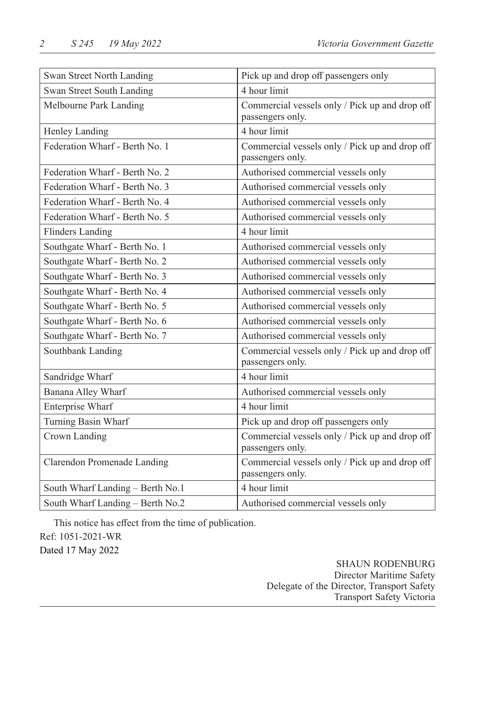| Swan Street North Landing        | Pick up and drop off passengers only                               |
|----------------------------------|--------------------------------------------------------------------|
| Swan Street South Landing        | 4 hour limit                                                       |
| Melbourne Park Landing           | Commercial vessels only / Pick up and drop off<br>passengers only. |
| Henley Landing                   | 4 hour limit                                                       |
| Federation Wharf - Berth No. 1   | Commercial vessels only / Pick up and drop off<br>passengers only. |
| Federation Wharf - Berth No. 2   | Authorised commercial vessels only                                 |
| Federation Wharf - Berth No. 3   | Authorised commercial vessels only                                 |
| Federation Wharf - Berth No. 4   | Authorised commercial vessels only                                 |
| Federation Wharf - Berth No. 5   | Authorised commercial vessels only                                 |
| <b>Flinders Landing</b>          | 4 hour limit                                                       |
| Southgate Wharf - Berth No. 1    | Authorised commercial vessels only                                 |
| Southgate Wharf - Berth No. 2    | Authorised commercial vessels only                                 |
| Southgate Wharf - Berth No. 3    | Authorised commercial vessels only                                 |
| Southgate Wharf - Berth No. 4    | Authorised commercial vessels only                                 |
| Southgate Wharf - Berth No. 5    | Authorised commercial vessels only                                 |
| Southgate Wharf - Berth No. 6    | Authorised commercial vessels only                                 |
| Southgate Wharf - Berth No. 7    | Authorised commercial vessels only                                 |
| Southbank Landing                | Commercial vessels only / Pick up and drop off<br>passengers only. |
| Sandridge Wharf                  | 4 hour limit                                                       |
| Banana Alley Wharf               | Authorised commercial vessels only                                 |
| Enterprise Wharf                 | 4 hour limit                                                       |
| Turning Basin Wharf              | Pick up and drop off passengers only                               |
| Crown Landing                    | Commercial vessels only / Pick up and drop off<br>passengers only. |
| Clarendon Promenade Landing      | Commercial vessels only / Pick up and drop off<br>passengers only. |
| South Wharf Landing - Berth No.1 | 4 hour limit                                                       |
| South Wharf Landing - Berth No.2 | Authorised commercial vessels only                                 |

This notice has effect from the time of publication. Ref: 1051-2021-WR Dated 17 May 2022

SHAUN RODENBURG Director Maritime Safety Delegate of the Director, Transport Safety Transport Safety Victoria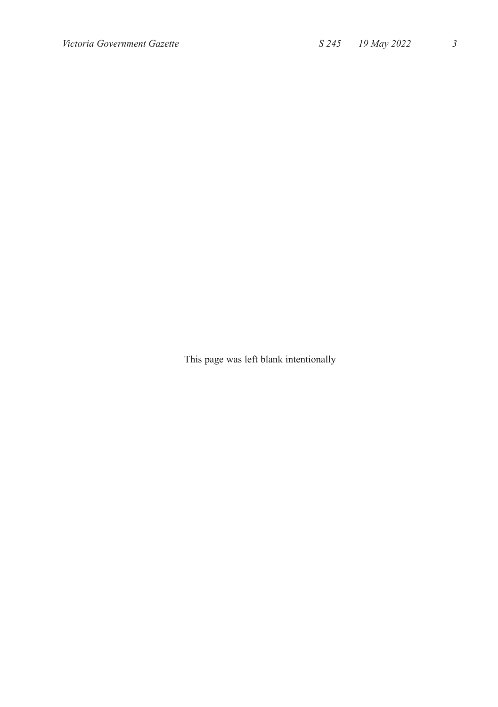This page was left blank intentionally